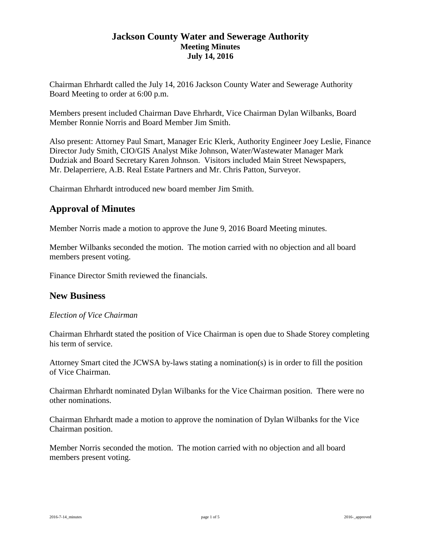# **Jackson County Water and Sewerage Authority Meeting Minutes July 14, 2016**

Chairman Ehrhardt called the July 14, 2016 Jackson County Water and Sewerage Authority Board Meeting to order at 6:00 p.m.

Members present included Chairman Dave Ehrhardt, Vice Chairman Dylan Wilbanks, Board Member Ronnie Norris and Board Member Jim Smith.

Also present: Attorney Paul Smart, Manager Eric Klerk, Authority Engineer Joey Leslie, Finance Director Judy Smith, CIO/GIS Analyst Mike Johnson, Water/Wastewater Manager Mark Dudziak and Board Secretary Karen Johnson. Visitors included Main Street Newspapers, Mr. Delaperriere, A.B. Real Estate Partners and Mr. Chris Patton, Surveyor.

Chairman Ehrhardt introduced new board member Jim Smith.

# **Approval of Minutes**

Member Norris made a motion to approve the June 9, 2016 Board Meeting minutes.

Member Wilbanks seconded the motion. The motion carried with no objection and all board members present voting.

Finance Director Smith reviewed the financials.

# **New Business**

## *Election of Vice Chairman*

Chairman Ehrhardt stated the position of Vice Chairman is open due to Shade Storey completing his term of service.

Attorney Smart cited the JCWSA by-laws stating a nomination(s) is in order to fill the position of Vice Chairman.

Chairman Ehrhardt nominated Dylan Wilbanks for the Vice Chairman position. There were no other nominations.

Chairman Ehrhardt made a motion to approve the nomination of Dylan Wilbanks for the Vice Chairman position.

Member Norris seconded the motion. The motion carried with no objection and all board members present voting.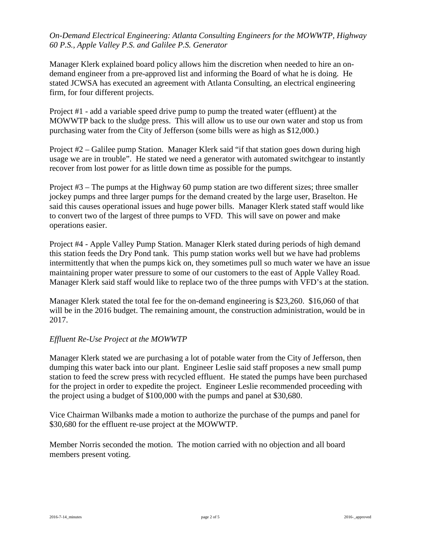## *On-Demand Electrical Engineering: Atlanta Consulting Engineers for the MOWWTP, Highway 60 P.S., Apple Valley P.S. and Galilee P.S. Generator*

Manager Klerk explained board policy allows him the discretion when needed to hire an ondemand engineer from a pre-approved list and informing the Board of what he is doing. He stated JCWSA has executed an agreement with Atlanta Consulting, an electrical engineering firm, for four different projects.

Project #1 - add a variable speed drive pump to pump the treated water (effluent) at the MOWWTP back to the sludge press. This will allow us to use our own water and stop us from purchasing water from the City of Jefferson (some bills were as high as \$12,000.)

Project #2 – Galilee pump Station. Manager Klerk said "if that station goes down during high usage we are in trouble". He stated we need a generator with automated switchgear to instantly recover from lost power for as little down time as possible for the pumps.

Project #3 – The pumps at the Highway 60 pump station are two different sizes; three smaller jockey pumps and three larger pumps for the demand created by the large user, Braselton. He said this causes operational issues and huge power bills. Manager Klerk stated staff would like to convert two of the largest of three pumps to VFD. This will save on power and make operations easier.

Project #4 - Apple Valley Pump Station. Manager Klerk stated during periods of high demand this station feeds the Dry Pond tank. This pump station works well but we have had problems intermittently that when the pumps kick on, they sometimes pull so much water we have an issue maintaining proper water pressure to some of our customers to the east of Apple Valley Road. Manager Klerk said staff would like to replace two of the three pumps with VFD's at the station.

Manager Klerk stated the total fee for the on-demand engineering is \$23,260. \$16,060 of that will be in the 2016 budget. The remaining amount, the construction administration, would be in 2017.

## *Effluent Re-Use Project at the MOWWTP*

Manager Klerk stated we are purchasing a lot of potable water from the City of Jefferson, then dumping this water back into our plant. Engineer Leslie said staff proposes a new small pump station to feed the screw press with recycled effluent. He stated the pumps have been purchased for the project in order to expedite the project. Engineer Leslie recommended proceeding with the project using a budget of \$100,000 with the pumps and panel at \$30,680.

Vice Chairman Wilbanks made a motion to authorize the purchase of the pumps and panel for \$30,680 for the effluent re-use project at the MOWWTP.

Member Norris seconded the motion. The motion carried with no objection and all board members present voting.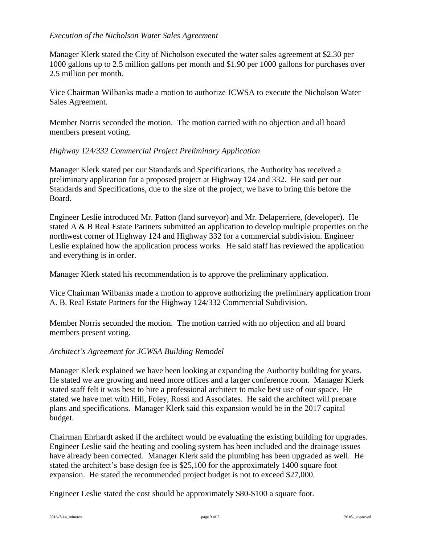## *Execution of the Nicholson Water Sales Agreement*

Manager Klerk stated the City of Nicholson executed the water sales agreement at \$2.30 per 1000 gallons up to 2.5 million gallons per month and \$1.90 per 1000 gallons for purchases over 2.5 million per month.

Vice Chairman Wilbanks made a motion to authorize JCWSA to execute the Nicholson Water Sales Agreement.

Member Norris seconded the motion. The motion carried with no objection and all board members present voting.

## *Highway 124/332 Commercial Project Preliminary Application*

Manager Klerk stated per our Standards and Specifications, the Authority has received a preliminary application for a proposed project at Highway 124 and 332. He said per our Standards and Specifications, due to the size of the project, we have to bring this before the Board.

Engineer Leslie introduced Mr. Patton (land surveyor) and Mr. Delaperriere, (developer). He stated A & B Real Estate Partners submitted an application to develop multiple properties on the northwest corner of Highway 124 and Highway 332 for a commercial subdivision. Engineer Leslie explained how the application process works. He said staff has reviewed the application and everything is in order.

Manager Klerk stated his recommendation is to approve the preliminary application.

Vice Chairman Wilbanks made a motion to approve authorizing the preliminary application from A. B. Real Estate Partners for the Highway 124/332 Commercial Subdivision.

Member Norris seconded the motion. The motion carried with no objection and all board members present voting.

# *Architect's Agreement for JCWSA Building Remodel*

Manager Klerk explained we have been looking at expanding the Authority building for years. He stated we are growing and need more offices and a larger conference room. Manager Klerk stated staff felt it was best to hire a professional architect to make best use of our space. He stated we have met with Hill, Foley, Rossi and Associates. He said the architect will prepare plans and specifications. Manager Klerk said this expansion would be in the 2017 capital budget.

Chairman Ehrhardt asked if the architect would be evaluating the existing building for upgrades. Engineer Leslie said the heating and cooling system has been included and the drainage issues have already been corrected. Manager Klerk said the plumbing has been upgraded as well. He stated the architect's base design fee is \$25,100 for the approximately 1400 square foot expansion. He stated the recommended project budget is not to exceed \$27,000.

Engineer Leslie stated the cost should be approximately \$80-\$100 a square foot.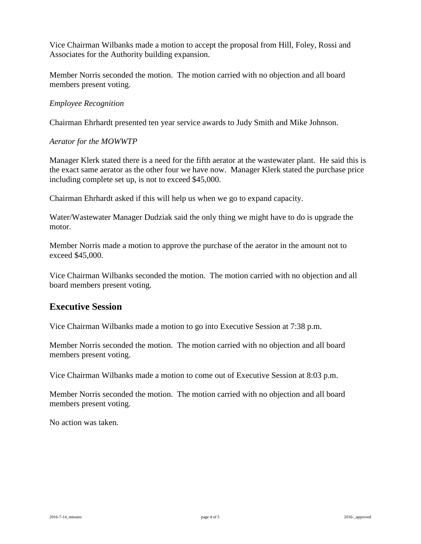Vice Chairman Wilbanks made a motion to accept the proposal from Hill, Foley, Rossi and Associates for the Authority building expansion.

Member Norris seconded the motion. The motion carried with no objection and all board members present voting.

#### *Employee Recognition*

Chairman Ehrhardt presented ten year service awards to Judy Smith and Mike Johnson.

#### *Aerator for the MOWWTP*

Manager Klerk stated there is a need for the fifth aerator at the wastewater plant. He said this is the exact same aerator as the other four we have now. Manager Klerk stated the purchase price including complete set up, is not to exceed \$45,000.

Chairman Ehrhardt asked if this will help us when we go to expand capacity.

Water/Wastewater Manager Dudziak said the only thing we might have to do is upgrade the motor.

Member Norris made a motion to approve the purchase of the aerator in the amount not to exceed \$45,000.

Vice Chairman Wilbanks seconded the motion. The motion carried with no objection and all board members present voting.

# **Executive Session**

Vice Chairman Wilbanks made a motion to go into Executive Session at 7:38 p.m.

Member Norris seconded the motion. The motion carried with no objection and all board members present voting.

Vice Chairman Wilbanks made a motion to come out of Executive Session at 8:03 p.m.

Member Norris seconded the motion. The motion carried with no objection and all board members present voting.

No action was taken.